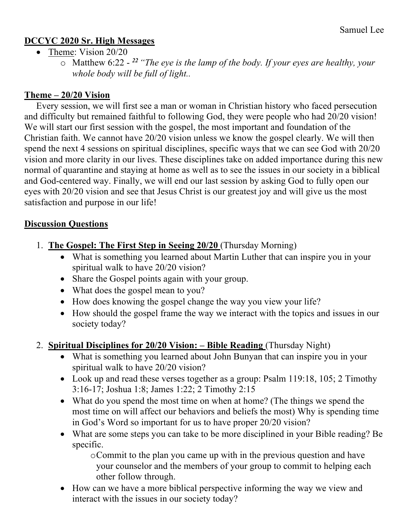#### **DCCYC 2020 Sr. High Messages**

- Theme: Vision 20/20
	- o Matthew 6:22 *<sup>22</sup> "The eye is the lamp of the body. If your eyes are healthy, your whole body will be full of light..*

### **Theme – 20/20 Vision**

Every session, we will first see a man or woman in Christian history who faced persecution and difficulty but remained faithful to following God, they were people who had 20/20 vision! We will start our first session with the gospel, the most important and foundation of the Christian faith. We cannot have 20/20 vision unless we know the gospel clearly. We will then spend the next 4 sessions on spiritual disciplines, specific ways that we can see God with 20/20 vision and more clarity in our lives. These disciplines take on added importance during this new normal of quarantine and staying at home as well as to see the issues in our society in a biblical and God-centered way. Finally, we will end our last session by asking God to fully open our eyes with 20/20 vision and see that Jesus Christ is our greatest joy and will give us the most satisfaction and purpose in our life!

#### **Discussion Questions**

- 1. **The Gospel: The First Step in Seeing 20/20** (Thursday Morning)
	- What is something you learned about Martin Luther that can inspire you in your spiritual walk to have 20/20 vision?
	- Share the Gospel points again with your group.
	- What does the gospel mean to you?
	- How does knowing the gospel change the way you view your life?
	- How should the gospel frame the way we interact with the topics and issues in our society today?
- 2. **Spiritual Disciplines for 20/20 Vision: – Bible Reading** (Thursday Night)
	- What is something you learned about John Bunyan that can inspire you in your spiritual walk to have 20/20 vision?
	- Look up and read these verses together as a group: Psalm 119:18, 105; 2 Timothy 3:16-17; Joshua 1:8; James 1:22; 2 Timothy 2:15
	- What do you spend the most time on when at home? (The things we spend the most time on will affect our behaviors and beliefs the most) Why is spending time in God's Word so important for us to have proper 20/20 vision?
	- What are some steps you can take to be more disciplined in your Bible reading? Be specific.

oCommit to the plan you came up with in the previous question and have your counselor and the members of your group to commit to helping each other follow through.

• How can we have a more biblical perspective informing the way we view and interact with the issues in our society today?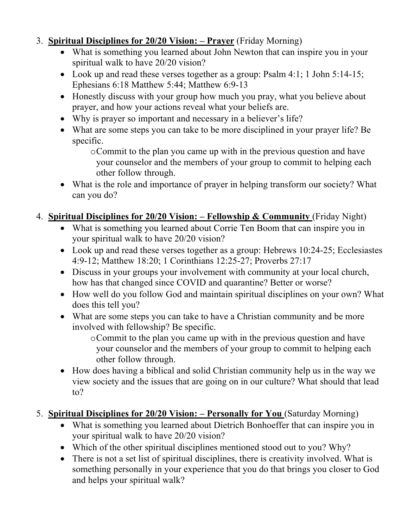### 3. **Spiritual Disciplines for 20/20 Vision: – Prayer** (Friday Morning)

- What is something you learned about John Newton that can inspire you in your spiritual walk to have 20/20 vision?
- Look up and read these verses together as a group: Psalm 4:1; 1 John 5:14-15; Ephesians 6:18 Matthew 5:44; Matthew 6:9-13
- Honestly discuss with your group how much you pray, what you believe about prayer, and how your actions reveal what your beliefs are.
- Why is prayer so important and necessary in a believer's life?
- What are some steps you can take to be more disciplined in your prayer life? Be specific.
	- oCommit to the plan you came up with in the previous question and have your counselor and the members of your group to commit to helping each other follow through.
- What is the role and importance of prayer in helping transform our society? What can you do?

## 4. **Spiritual Disciplines for 20/20 Vision: – Fellowship & Community** (Friday Night)

- What is something you learned about Corrie Ten Boom that can inspire you in your spiritual walk to have 20/20 vision?
- Look up and read these verses together as a group: Hebrews 10:24-25; Ecclesiastes 4:9-12; Matthew 18:20; 1 Corinthians 12:25-27; Proverbs 27:17
- Discuss in your groups your involvement with community at your local church, how has that changed since COVID and quarantine? Better or worse?
- How well do you follow God and maintain spiritual disciplines on your own? What does this tell you?
- What are some steps you can take to have a Christian community and be more involved with fellowship? Be specific.

oCommit to the plan you came up with in the previous question and have your counselor and the members of your group to commit to helping each other follow through.

• How does having a biblical and solid Christian community help us in the way we view society and the issues that are going on in our culture? What should that lead to?

# 5. **Spiritual Disciplines for 20/20 Vision: – Personally for You** (Saturday Morning)

- What is something you learned about Dietrich Bonhoeffer that can inspire you in your spiritual walk to have 20/20 vision?
- Which of the other spiritual disciplines mentioned stood out to you? Why?
- There is not a set list of spiritual disciplines, there is creativity involved. What is something personally in your experience that you do that brings you closer to God and helps your spiritual walk?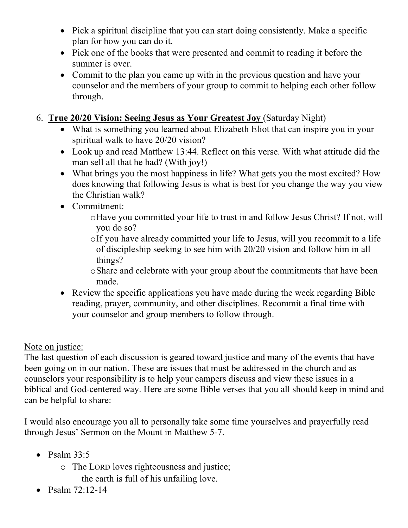- Pick a spiritual discipline that you can start doing consistently. Make a specific plan for how you can do it.
- Pick one of the books that were presented and commit to reading it before the summer is over.
- Commit to the plan you came up with in the previous question and have your counselor and the members of your group to commit to helping each other follow through.
- 6. **True 20/20 Vision: Seeing Jesus as Your Greatest Joy** (Saturday Night)
	- What is something you learned about Elizabeth Eliot that can inspire you in your spiritual walk to have 20/20 vision?
	- Look up and read Matthew 13:44. Reflect on this verse. With what attitude did the man sell all that he had? (With joy!)
	- What brings you the most happiness in life? What gets you the most excited? How does knowing that following Jesus is what is best for you change the way you view the Christian walk?
	- Commitment:
		- oHave you committed your life to trust in and follow Jesus Christ? If not, will you do so?
		- oIf you have already committed your life to Jesus, will you recommit to a life of discipleship seeking to see him with 20/20 vision and follow him in all things?
		- oShare and celebrate with your group about the commitments that have been made.
	- Review the specific applications you have made during the week regarding Bible reading, prayer, community, and other disciplines. Recommit a final time with your counselor and group members to follow through.

### Note on justice:

The last question of each discussion is geared toward justice and many of the events that have been going on in our nation. These are issues that must be addressed in the church and as counselors your responsibility is to help your campers discuss and view these issues in a biblical and God-centered way. Here are some Bible verses that you all should keep in mind and can be helpful to share:

I would also encourage you all to personally take some time yourselves and prayerfully read through Jesus' Sermon on the Mount in Matthew 5-7.

- Psalm  $33:5$ 
	- o The LORD loves righteousness and justice; the earth is full of his unfailing love.
- Psalm  $72:12-14$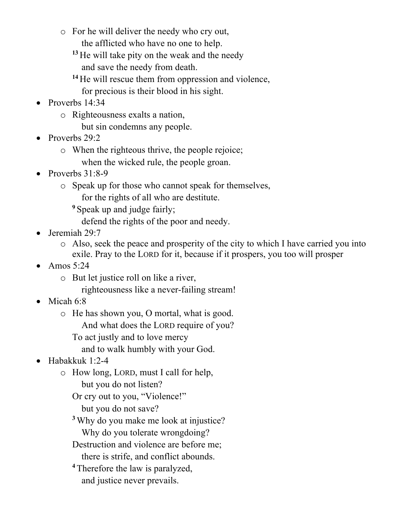- o For he will deliver the needy who cry out, the afflicted who have no one to help.
	- **<sup>13</sup>** He will take pity on the weak and the needy and save the needy from death.
	- **<sup>14</sup>** He will rescue them from oppression and violence, for precious is their blood in his sight.
- Proverbs 14:34
	- o Righteousness exalts a nation,
		- but sin condemns any people.
- Proverbs 29:2
	- o When the righteous thrive, the people rejoice; when the wicked rule, the people groan.
- Proverbs 31:8-9
	- o Speak up for those who cannot speak for themselves, for the rights of all who are destitute.
		- **<sup>9</sup>** Speak up and judge fairly;
			- defend the rights of the poor and needy.
- Jeremiah 29:7
	- o Also, seek the peace and prosperity of the city to which I have carried you into exile. Pray to the LORD for it, because if it prospers, you too will prosper
- Amos 5:24
	- o But let justice roll on like a river,
		- righteousness like a never-failing stream!
- Micah 6:8
	- o He has shown you, O mortal, what is good.
		- And what does the LORD require of you?
		- To act justly and to love mercy
			- and to walk humbly with your God.
- Habakkuk 1:2-4
	- o How long, LORD, must I call for help, but you do not listen?
		- Or cry out to you, "Violence!"
			- but you do not save?
		- **<sup>3</sup>**Why do you make me look at injustice? Why do you tolerate wrongdoing?
		- Destruction and violence are before me;
			- there is strife, and conflict abounds.
		- **<sup>4</sup>** Therefore the law is paralyzed, and justice never prevails.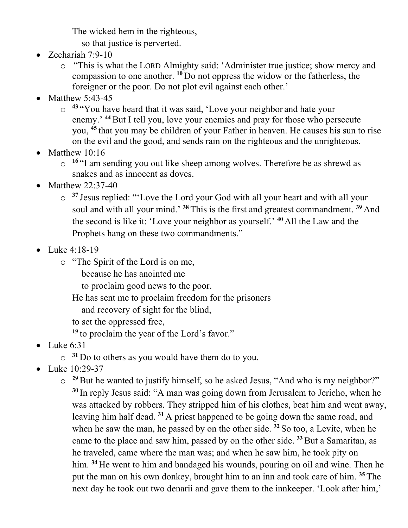The wicked hem in the righteous,

so that justice is perverted.

- Zechariah 7:9-10
	- o "This is what the LORD Almighty said: 'Administer true justice; show mercy and compassion to one another. **<sup>10</sup>** Do not oppress the widow or the fatherless, the foreigner or the poor. Do not plot evil against each other.'
- Matthew 5:43-45
	- o **<sup>43</sup>** "You have heard that it was said, 'Love your neighbor and hate your enemy.<sup>44</sup> But I tell you, love your enemies and pray for those who persecute you, **<sup>45</sup>** that you may be children of your Father in heaven. He causes his sun to rise on the evil and the good, and sends rain on the righteous and the unrighteous.
- Matthew 10:16
	- o **<sup>16</sup>** "I am sending you out like sheep among wolves. Therefore be as shrewd as snakes and as innocent as doves.
- Matthew 22:37-40
	- o **<sup>37</sup>** Jesus replied: "'Love the Lord your God with all your heart and with all your soul and with all your mind.' **<sup>38</sup>** This is the first and greatest commandment. **<sup>39</sup>** And the second is like it: 'Love your neighbor as yourself.' **<sup>40</sup>** All the Law and the Prophets hang on these two commandments."
- Luke 4:18-19
	- o "The Spirit of the Lord is on me,
		- because he has anointed me
		- to proclaim good news to the poor.
		- He has sent me to proclaim freedom for the prisoners
			- and recovery of sight for the blind,
		- to set the oppressed free,
		- **<sup>19</sup>** to proclaim the year of the Lord's favor."
- Luke  $6:31$ 
	- o **<sup>31</sup>** Do to others as you would have them do to you.
- Luke 10:29-37
	- o **<sup>29</sup>**But he wanted to justify himself, so he asked Jesus, "And who is my neighbor?" **<sup>30</sup>** In reply Jesus said: "A man was going down from Jerusalem to Jericho, when he was attacked by robbers. They stripped him of his clothes, beat him and went away, leaving him half dead. **<sup>31</sup>** A priest happened to be going down the same road, and when he saw the man, he passed by on the other side. **<sup>32</sup>** So too, a Levite, when he came to the place and saw him, passed by on the other side. **<sup>33</sup>**But a Samaritan, as he traveled, came where the man was; and when he saw him, he took pity on him. **<sup>34</sup>** He went to him and bandaged his wounds, pouring on oil and wine. Then he put the man on his own donkey, brought him to an inn and took care of him. **<sup>35</sup>** The next day he took out two denarii and gave them to the innkeeper. 'Look after him,'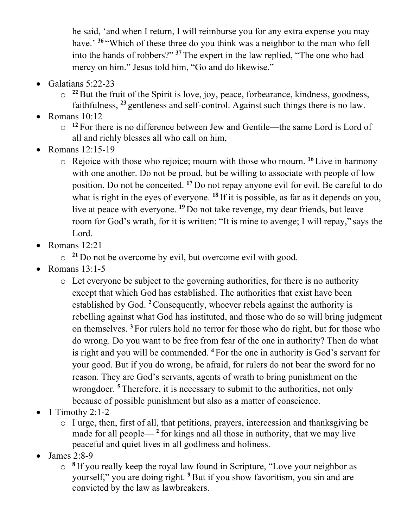he said, 'and when I return, I will reimburse you for any extra expense you may have.' <sup>36</sup> "Which of these three do you think was a neighbor to the man who fell into the hands of robbers?" **<sup>37</sup>** The expert in the law replied, "The one who had mercy on him." Jesus told him, "Go and do likewise."

- Galatians 5:22-23
	- o **<sup>22</sup>**But the fruit of the Spirit is love, joy, peace, forbearance, kindness, goodness, faithfulness, **<sup>23</sup>** gentleness and self-control. Against such things there is no law.
- Romans  $10:12$ 
	- o **<sup>12</sup>** For there is no difference between Jew and Gentile—the same Lord is Lord of all and richly blesses all who call on him,
- Romans 12:15-19
	- o Rejoice with those who rejoice; mourn with those who mourn. **<sup>16</sup>** Live in harmony with one another. Do not be proud, but be willing to associate with people of low position. Do not be conceited. **<sup>17</sup>** Do not repay anyone evil for evil. Be careful to do what is right in the eyes of everyone. **<sup>18</sup>** If it is possible, as far as it depends on you, live at peace with everyone. **<sup>19</sup>** Do not take revenge, my dear friends, but leave room for God's wrath, for it is written: "It is mine to avenge; I will repay," says the Lord.
- Romans 12:21
	- o **<sup>21</sup>** Do not be overcome by evil, but overcome evil with good.
- Romans  $13:1-5$ 
	- o Let everyone be subject to the governing authorities, for there is no authority except that which God has established. The authorities that exist have been established by God. **<sup>2</sup>**Consequently, whoever rebels against the authority is rebelling against what God has instituted, and those who do so will bring judgment on themselves. **<sup>3</sup>** For rulers hold no terror for those who do right, but for those who do wrong. Do you want to be free from fear of the one in authority? Then do what is right and you will be commended. **<sup>4</sup>** For the one in authority is God's servant for your good. But if you do wrong, be afraid, for rulers do not bear the sword for no reason. They are God's servants, agents of wrath to bring punishment on the wrongdoer. <sup>5</sup> Therefore, it is necessary to submit to the authorities, not only because of possible punishment but also as a matter of conscience.
- $\bullet$  1 Timothy 2:1-2
	- o I urge, then, first of all, that petitions, prayers, intercession and thanksgiving be made for all people— **<sup>2</sup>** for kings and all those in authority, that we may live peaceful and quiet lives in all godliness and holiness.
- James 2:8-9
	- o **<sup>8</sup>** If you really keep the royal law found in Scripture, "Love your neighbor as yourself," you are doing right. **<sup>9</sup>**But if you show favoritism, you sin and are convicted by the law as lawbreakers.